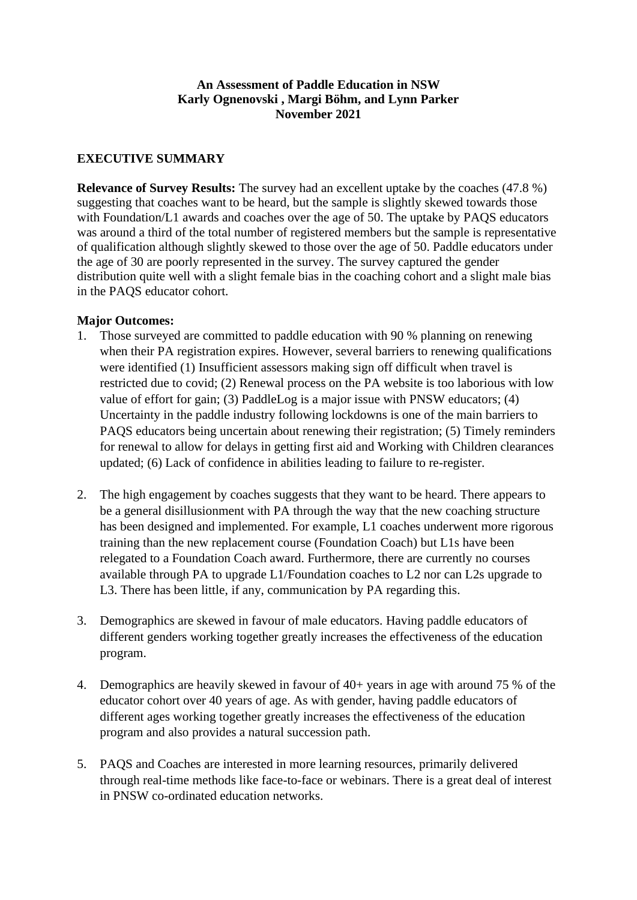# **An Assessment of Paddle Education in NSW Karly Ognenovski , Margi Böhm, and Lynn Parker November 2021**

# **EXECUTIVE SUMMARY**

**Relevance of Survey Results:** The survey had an excellent uptake by the coaches (47.8 %) suggesting that coaches want to be heard, but the sample is slightly skewed towards those with Foundation/L1 awards and coaches over the age of 50. The uptake by PAQS educators was around a third of the total number of registered members but the sample is representative of qualification although slightly skewed to those over the age of 50. Paddle educators under the age of 30 are poorly represented in the survey. The survey captured the gender distribution quite well with a slight female bias in the coaching cohort and a slight male bias in the PAQS educator cohort.

### **Major Outcomes:**

- 1. Those surveyed are committed to paddle education with 90 % planning on renewing when their PA registration expires. However, several barriers to renewing qualifications were identified (1) Insufficient assessors making sign off difficult when travel is restricted due to covid; (2) Renewal process on the PA website is too laborious with low value of effort for gain; (3) PaddleLog is a major issue with PNSW educators; (4) Uncertainty in the paddle industry following lockdowns is one of the main barriers to PAQS educators being uncertain about renewing their registration; (5) Timely reminders for renewal to allow for delays in getting first aid and Working with Children clearances updated; (6) Lack of confidence in abilities leading to failure to re-register.
- 2. The high engagement by coaches suggests that they want to be heard. There appears to be a general disillusionment with PA through the way that the new coaching structure has been designed and implemented. For example, L1 coaches underwent more rigorous training than the new replacement course (Foundation Coach) but L1s have been relegated to a Foundation Coach award. Furthermore, there are currently no courses available through PA to upgrade L1/Foundation coaches to L2 nor can L2s upgrade to L3. There has been little, if any, communication by PA regarding this.
- 3. Demographics are skewed in favour of male educators. Having paddle educators of different genders working together greatly increases the effectiveness of the education program.
- 4. Demographics are heavily skewed in favour of 40+ years in age with around 75 % of the educator cohort over 40 years of age. As with gender, having paddle educators of different ages working together greatly increases the effectiveness of the education program and also provides a natural succession path.
- 5. PAQS and Coaches are interested in more learning resources, primarily delivered through real-time methods like face-to-face or webinars. There is a great deal of interest in PNSW co-ordinated education networks.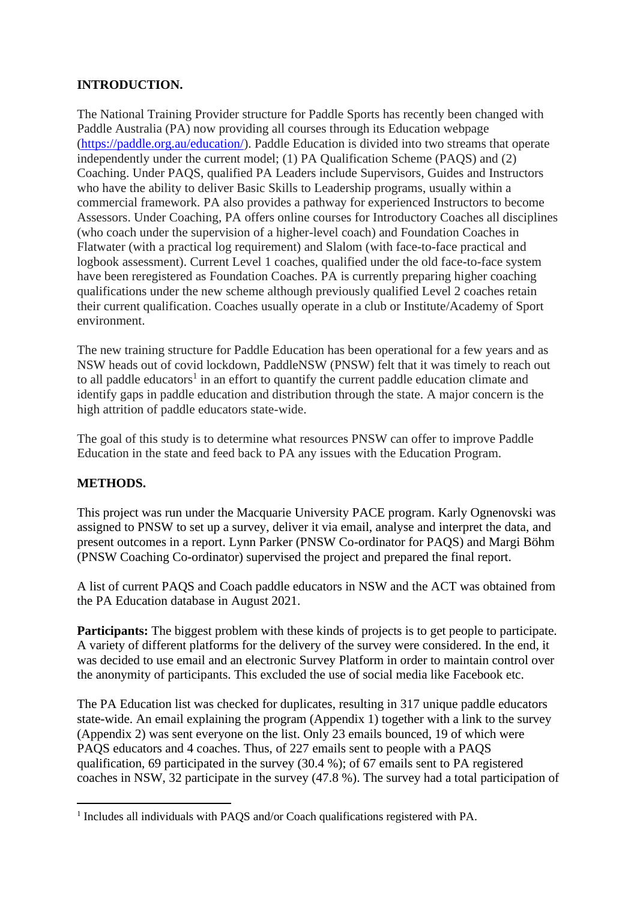# **INTRODUCTION.**

The National Training Provider structure for Paddle Sports has recently been changed with Paddle Australia (PA) now providing all courses through its Education webpage (https://paddle.org.au/education/). Paddle Education is divided into two streams that operate independently under the current model; (1) PA Qualification Scheme (PAQS) and (2) Coaching. Under PAQS, qualified PA Leaders include Supervisors, Guides and Instructors who have the ability to deliver Basic Skills to Leadership programs, usually within a commercial framework. PA also provides a pathway for experienced Instructors to become Assessors. Under Coaching, PA offers online courses for Introductory Coaches all disciplines (who coach under the supervision of a higher-level coach) and Foundation Coaches in Flatwater (with a practical log requirement) and Slalom (with face-to-face practical and logbook assessment). Current Level 1 coaches, qualified under the old face-to-face system have been reregistered as Foundation Coaches. PA is currently preparing higher coaching qualifications under the new scheme although previously qualified Level 2 coaches retain their current qualification. Coaches usually operate in a club or Institute/Academy of Sport environment.

The new training structure for Paddle Education has been operational for a few years and as NSW heads out of covid lockdown, PaddleNSW (PNSW) felt that it was timely to reach out to all paddle educators<sup>1</sup> in an effort to quantify the current paddle education climate and identify gaps in paddle education and distribution through the state. A major concern is the high attrition of paddle educators state-wide.

The goal of this study is to determine what resources PNSW can offer to improve Paddle Education in the state and feed back to PA any issues with the Education Program.

# **METHODS.**

This project was run under the Macquarie University PACE program. Karly Ognenovski was assigned to PNSW to set up a survey, deliver it via email, analyse and interpret the data, and present outcomes in a report. Lynn Parker (PNSW Co-ordinator for PAQS) and Margi Böhm (PNSW Coaching Co-ordinator) supervised the project and prepared the final report.

A list of current PAQS and Coach paddle educators in NSW and the ACT was obtained from the PA Education database in August 2021.

**Participants:** The biggest problem with these kinds of projects is to get people to participate. A variety of different platforms for the delivery of the survey were considered. In the end, it was decided to use email and an electronic Survey Platform in order to maintain control over the anonymity of participants. This excluded the use of social media like Facebook etc.

The PA Education list was checked for duplicates, resulting in 317 unique paddle educators state-wide. An email explaining the program (Appendix 1) together with a link to the survey (Appendix 2) was sent everyone on the list. Only 23 emails bounced, 19 of which were PAQS educators and 4 coaches. Thus, of 227 emails sent to people with a PAQS qualification, 69 participated in the survey (30.4 %); of 67 emails sent to PA registered coaches in NSW, 32 participate in the survey (47.8 %). The survey had a total participation of

<sup>&</sup>lt;sup>1</sup> Includes all individuals with PAQS and/or Coach qualifications registered with PA.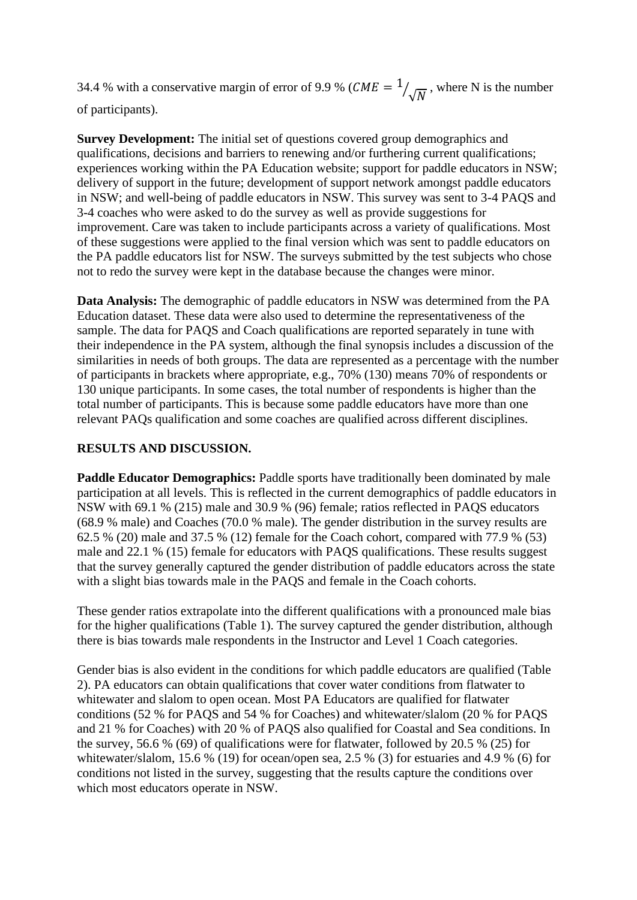34.4 % with a conservative margin of error of 9.9 % ( $CME = 1$ )  $\sqrt{\sqrt{N}}$ , where N is the number of participants).

**Survey Development:** The initial set of questions covered group demographics and qualifications, decisions and barriers to renewing and/or furthering current qualifications; experiences working within the PA Education website; support for paddle educators in NSW; delivery of support in the future; development of support network amongst paddle educators in NSW; and well-being of paddle educators in NSW. This survey was sent to 3-4 PAQS and 3-4 coaches who were asked to do the survey as well as provide suggestions for improvement. Care was taken to include participants across a variety of qualifications. Most of these suggestions were applied to the final version which was sent to paddle educators on the PA paddle educators list for NSW. The surveys submitted by the test subjects who chose not to redo the survey were kept in the database because the changes were minor.

**Data Analysis:** The demographic of paddle educators in NSW was determined from the PA Education dataset. These data were also used to determine the representativeness of the sample. The data for PAQS and Coach qualifications are reported separately in tune with their independence in the PA system, although the final synopsis includes a discussion of the similarities in needs of both groups. The data are represented as a percentage with the number of participants in brackets where appropriate, e.g., 70% (130) means 70% of respondents or 130 unique participants. In some cases, the total number of respondents is higher than the total number of participants. This is because some paddle educators have more than one relevant PAQs qualification and some coaches are qualified across different disciplines.

### **RESULTS AND DISCUSSION.**

**Paddle Educator Demographics:** Paddle sports have traditionally been dominated by male participation at all levels. This is reflected in the current demographics of paddle educators in NSW with 69.1 % (215) male and 30.9 % (96) female; ratios reflected in PAQS educators (68.9 % male) and Coaches (70.0 % male). The gender distribution in the survey results are 62.5 % (20) male and 37.5 % (12) female for the Coach cohort, compared with 77.9 % (53) male and 22.1 % (15) female for educators with PAQS qualifications. These results suggest that the survey generally captured the gender distribution of paddle educators across the state with a slight bias towards male in the PAQS and female in the Coach cohorts.

These gender ratios extrapolate into the different qualifications with a pronounced male bias for the higher qualifications [\(Table 1\)](#page-3-0). The survey captured the gender distribution, although there is bias towards male respondents in the Instructor and Level 1 Coach categories.

Gender bias is also evident in the conditions for which paddle educators are qualified [\(Table](#page-3-1)  [2\)](#page-3-1). PA educators can obtain qualifications that cover water conditions from flatwater to whitewater and slalom to open ocean. Most PA Educators are qualified for flatwater conditions (52 % for PAQS and 54 % for Coaches) and whitewater/slalom (20 % for PAQS and 21 % for Coaches) with 20 % of PAQS also qualified for Coastal and Sea conditions. In the survey, 56.6 % (69) of qualifications were for flatwater, followed by 20.5 % (25) for whitewater/slalom, 15.6 % (19) for ocean/open sea, 2.5 % (3) for estuaries and 4.9 % (6) for conditions not listed in the survey, suggesting that the results capture the conditions over which most educators operate in NSW.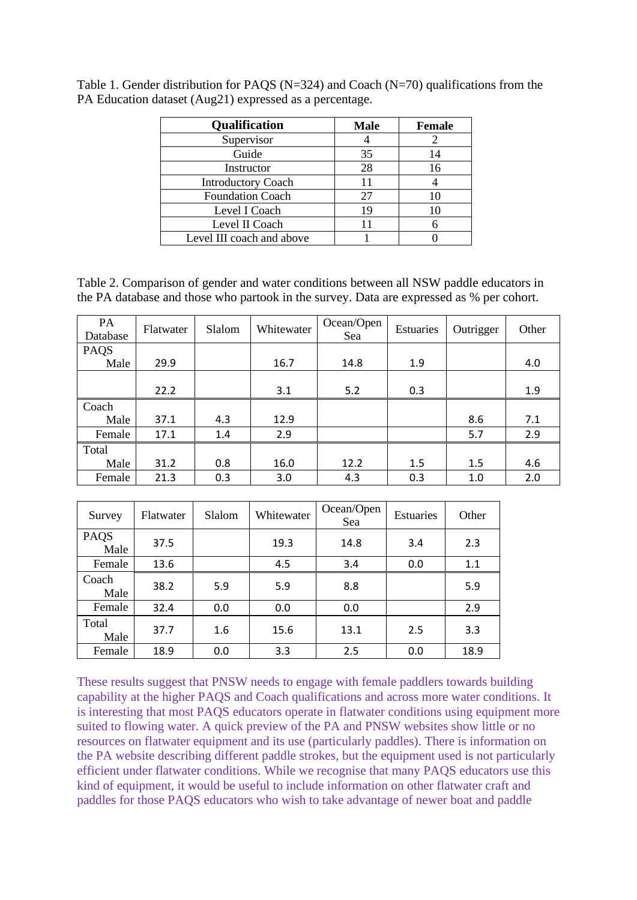| <b>Qualification</b>      | <b>Male</b> | <b>Female</b> |
|---------------------------|-------------|---------------|
| Supervisor                |             |               |
| Guide                     | 35          | 14            |
| Instructor                | 28          | 16            |
| <b>Introductory Coach</b> | 11          |               |
| <b>Foundation Coach</b>   | 27          | 10            |
| Level I Coach             | 19          | 10            |
| Level II Coach            | 11          |               |
| Level III coach and above |             |               |

<span id="page-3-0"></span>Table 1. Gender distribution for PAQS (N=324) and Coach (N=70) qualifications from the PA Education dataset (Aug21) expressed as a percentage.

<span id="page-3-1"></span>Table 2. Comparison of gender and water conditions between all NSW paddle educators in the PA database and those who partook in the survey. Data are expressed as % per cohort.

| PA<br>Database | Flatwater | Slalom | Whitewater | Ocean/Open<br>Sea | Estuaries | Outrigger | Other |
|----------------|-----------|--------|------------|-------------------|-----------|-----------|-------|
| PAQS           |           |        |            |                   |           |           |       |
| Male           | 29.9      |        | 16.7       | 14.8              | 1.9       |           | 4.0   |
|                |           |        |            |                   |           |           |       |
|                | 22.2      |        | 3.1        | 5.2               | 0.3       |           | 1.9   |
| Coach          |           |        |            |                   |           |           |       |
| Male           | 37.1      | 4.3    | 12.9       |                   |           | 8.6       | 7.1   |
| Female         | 17.1      | 1.4    | 2.9        |                   |           | 5.7       | 2.9   |
| Total          |           |        |            |                   |           |           |       |
| Male           | 31.2      | 0.8    | 16.0       | 12.2              | 1.5       | 1.5       | 4.6   |
| Female         | 21.3      | 0.3    | 3.0        | 4.3               | 0.3       | 1.0       | 2.0   |

| Survey        | Flatwater | Slalom | Whitewater | Ocean/Open<br>Sea | Estuaries | Other |
|---------------|-----------|--------|------------|-------------------|-----------|-------|
| PAQS<br>Male  | 37.5      |        | 19.3       | 14.8              | 3.4       | 2.3   |
| Female        | 13.6      |        | 4.5        | 3.4               | 0.0       | 1.1   |
| Coach<br>Male | 38.2      | 5.9    | 5.9        | 8.8               |           | 5.9   |
| Female        | 32.4      | 0.0    | 0.0        | 0.0               |           | 2.9   |
| Total<br>Male | 37.7      | 1.6    | 15.6       | 13.1              | 2.5       | 3.3   |
| Female        | 18.9      | 0.0    | 3.3        | 2.5               | 0.0       | 18.9  |

These results suggest that PNSW needs to engage with female paddlers towards building capability at the higher PAQS and Coach qualifications and across more water conditions. It is interesting that most PAQS educators operate in flatwater conditions using equipment more suited to flowing water. A quick preview of the PA and PNSW websites show little or no resources on flatwater equipment and its use (particularly paddles). There is information on the PA website describing different paddle strokes, but the equipment used is not particularly efficient under flatwater conditions. While we recognise that many PAQS educators use this kind of equipment, it would be useful to include information on other flatwater craft and paddles for those PAQS educators who wish to take advantage of newer boat and paddle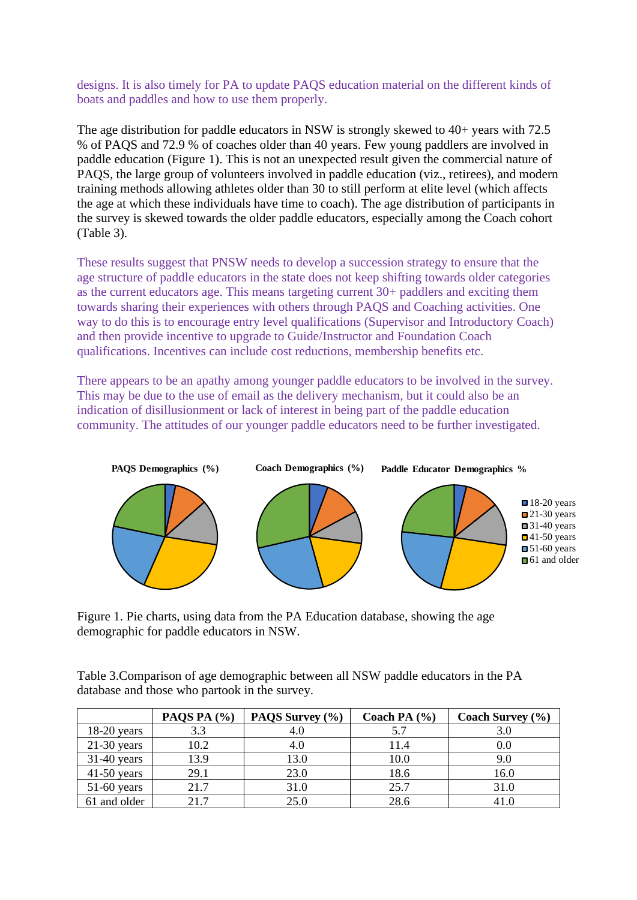designs. It is also timely for PA to update PAQS education material on the different kinds of boats and paddles and how to use them properly.

The age distribution for paddle educators in NSW is strongly skewed to 40+ years with 72.5 % of PAQS and 72.9 % of coaches older than 40 years. Few young paddlers are involved in paddle education [\(Figure 1\)](#page-4-0). This is not an unexpected result given the commercial nature of PAQS, the large group of volunteers involved in paddle education (viz., retirees), and modern training methods allowing athletes older than 30 to still perform at elite level (which affects the age at which these individuals have time to coach). The age distribution of participants in the survey is skewed towards the older paddle educators, especially among the Coach cohort [\(Table 3\)](#page-4-1).

These results suggest that PNSW needs to develop a succession strategy to ensure that the age structure of paddle educators in the state does not keep shifting towards older categories as the current educators age. This means targeting current 30+ paddlers and exciting them towards sharing their experiences with others through PAQS and Coaching activities. One way to do this is to encourage entry level qualifications (Supervisor and Introductory Coach) and then provide incentive to upgrade to Guide/Instructor and Foundation Coach qualifications. Incentives can include cost reductions, membership benefits etc.

There appears to be an apathy among younger paddle educators to be involved in the survey. This may be due to the use of email as the delivery mechanism, but it could also be an indication of disillusionment or lack of interest in being part of the paddle education community. The attitudes of our younger paddle educators need to be further investigated.



<span id="page-4-0"></span>Figure 1. Pie charts, using data from the PA Education database, showing the age demographic for paddle educators in NSW.

<span id="page-4-1"></span>Table 3.Comparison of age demographic between all NSW paddle educators in the PA database and those who partook in the survey.

|               | PAQS PA $(%)$ | PAQS Survey (%) | Coach PA $(\% )$ | Coach Survey $(\% )$ |
|---------------|---------------|-----------------|------------------|----------------------|
| $18-20$ years | 3.3           | 4.U             | 5.7              | 3.C                  |
| $21-30$ years | 10.2          | 4.0             | 11.4             | $0.0\,$              |
| $31-40$ years | 13.9          | 13.0            | 10.0             | 9.0                  |
| $41-50$ years | 29.1          | 23.0            | 18.6             | 16.0                 |
| $51-60$ years | 21.7          | 31.0            | 25.7             | 31.0                 |
| 61 and older  | 217           | 25.0            | 28.6             | 41.0                 |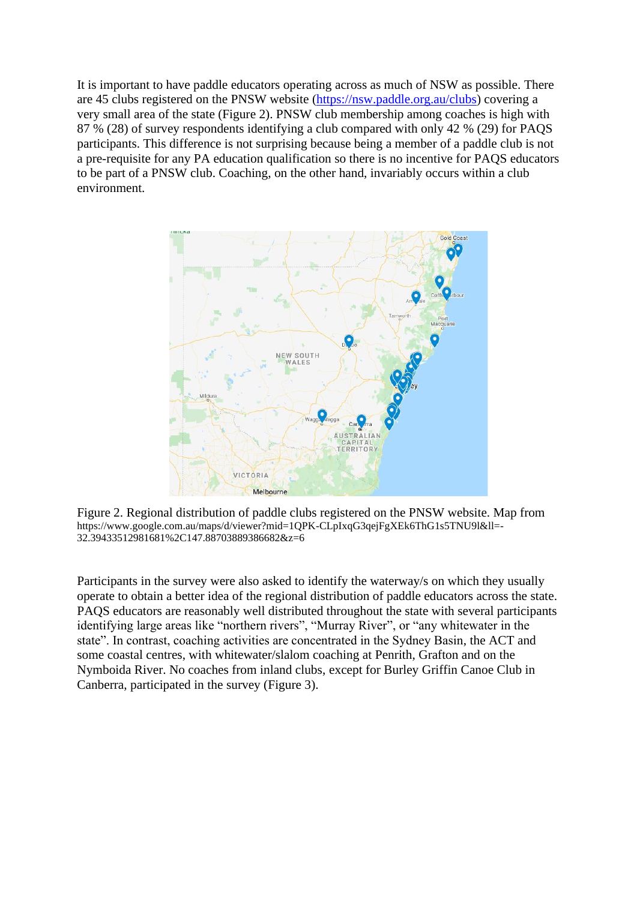It is important to have paddle educators operating across as much of NSW as possible. There are 45 clubs registered on the PNSW website [\(https://nsw.paddle.org.au/clubs\)](https://nsw.paddle.org.au/clubs) covering a very small area of the state [\(Figure 2\)](#page-5-0). PNSW club membership among coaches is high with 87 % (28) of survey respondents identifying a club compared with only 42 % (29) for PAQS participants. This difference is not surprising because being a member of a paddle club is not a pre-requisite for any PA education qualification so there is no incentive for PAQS educators to be part of a PNSW club. Coaching, on the other hand, invariably occurs within a club environment.



<span id="page-5-0"></span>Figure 2. Regional distribution of paddle clubs registered on the PNSW website. Map from https://www.google.com.au/maps/d/viewer?mid=1QPK-CLpIxqG3qejFgXEk6ThG1s5TNU9l&ll=- 32.39433512981681%2C147.88703889386682&z=6

Participants in the survey were also asked to identify the waterway/s on which they usually operate to obtain a better idea of the regional distribution of paddle educators across the state. PAQS educators are reasonably well distributed throughout the state with several participants identifying large areas like "northern rivers", "Murray River", or "any whitewater in the state". In contrast, coaching activities are concentrated in the Sydney Basin, the ACT and some coastal centres, with whitewater/slalom coaching at Penrith, Grafton and on the Nymboida River. No coaches from inland clubs, except for Burley Griffin Canoe Club in Canberra, participated in the survey [\(Figure 3\)](#page-6-0).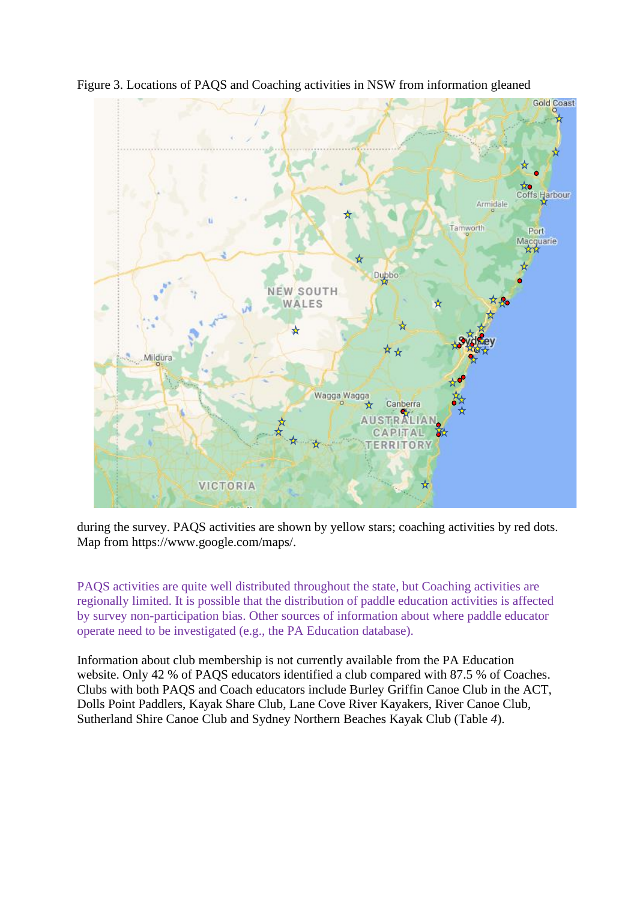

<span id="page-6-0"></span>Figure 3. Locations of PAQS and Coaching activities in NSW from information gleaned

during the survey. PAQS activities are shown by yellow stars; coaching activities by red dots. Map from https://www.google.com/maps/.

PAQS activities are quite well distributed throughout the state, but Coaching activities are regionally limited. It is possible that the distribution of paddle education activities is affected by survey non-participation bias. Other sources of information about where paddle educator operate need to be investigated (e.g., the PA Education database).

Information about club membership is not currently available from the PA Education website. Only 42 % of PAQS educators identified a club compared with 87.5 % of Coaches. Clubs with both PAQS and Coach educators include Burley Griffin Canoe Club in the ACT, Dolls Point Paddlers, Kayak Share Club, Lane Cove River Kayakers, River Canoe Club, Sutherland Shire Canoe Club and Sydney Northern Beaches Kayak Club [\(Table](#page-7-0) *4*).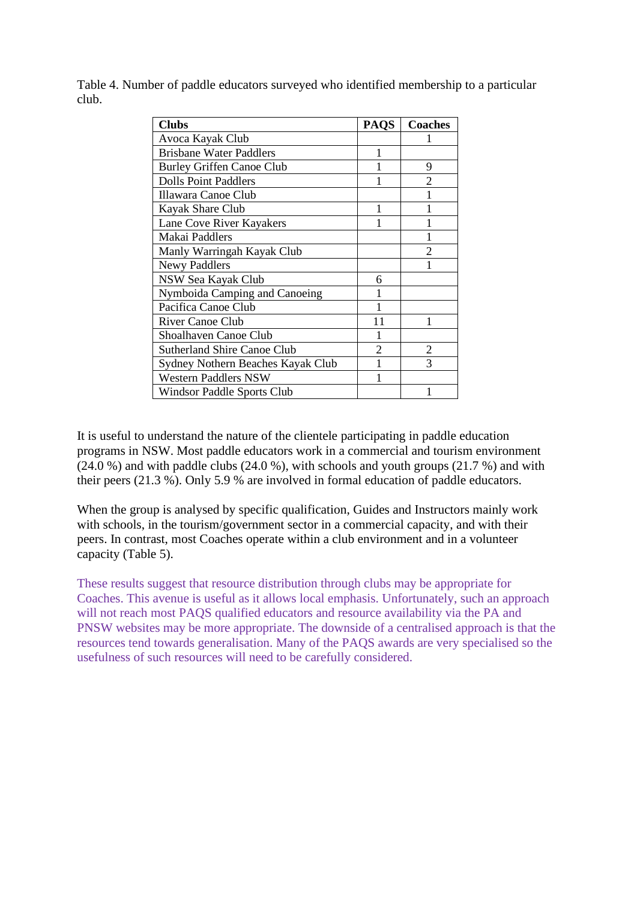| <b>Clubs</b>                       | <b>PAQS</b>    | <b>Coaches</b> |
|------------------------------------|----------------|----------------|
| Avoca Kayak Club                   |                |                |
| <b>Brisbane Water Paddlers</b>     |                |                |
| <b>Burley Griffen Canoe Club</b>   |                | 9              |
| <b>Dolls Point Paddlers</b>        |                | $\overline{2}$ |
| Illawara Canoe Club                |                |                |
| Kayak Share Club                   |                |                |
| Lane Cove River Kayakers           |                |                |
| Makai Paddlers                     |                |                |
| Manly Warringah Kayak Club         |                | $\overline{c}$ |
| <b>Newy Paddlers</b>               |                |                |
| NSW Sea Kayak Club                 | 6              |                |
| Nymboida Camping and Canoeing      |                |                |
| Pacifica Canoe Club                |                |                |
| <b>River Canoe Club</b>            | 11             |                |
| Shoalhaven Canoe Club              |                |                |
| <b>Sutherland Shire Canoe Club</b> | $\mathfrak{D}$ | 2              |
| Sydney Nothern Beaches Kayak Club  |                | 3              |
| Western Paddlers NSW               |                |                |
| Windsor Paddle Sports Club         |                |                |

<span id="page-7-0"></span>Table 4. Number of paddle educators surveyed who identified membership to a particular club.

It is useful to understand the nature of the clientele participating in paddle education programs in NSW. Most paddle educators work in a commercial and tourism environment (24.0 %) and with paddle clubs (24.0 %), with schools and youth groups (21.7 %) and with their peers (21.3 %). Only 5.9 % are involved in formal education of paddle educators.

When the group is analysed by specific qualification, Guides and Instructors mainly work with schools, in the tourism/government sector in a commercial capacity, and with their peers. In contrast, most Coaches operate within a club environment and in a volunteer capacity (Table 5).

These results suggest that resource distribution through clubs may be appropriate for Coaches. This avenue is useful as it allows local emphasis. Unfortunately, such an approach will not reach most PAQS qualified educators and resource availability via the PA and PNSW websites may be more appropriate. The downside of a centralised approach is that the resources tend towards generalisation. Many of the PAQS awards are very specialised so the usefulness of such resources will need to be carefully considered.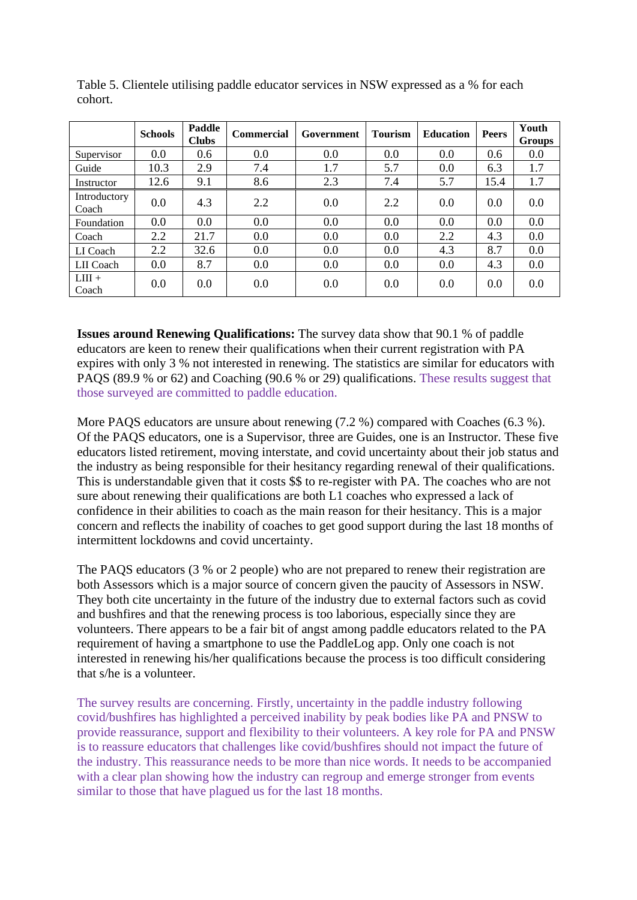|                       | <b>Schools</b> | <b>Paddle</b><br><b>Clubs</b> | <b>Commercial</b> | Government | <b>Tourism</b> | <b>Education</b> | <b>Peers</b> | Youth<br><b>Groups</b> |
|-----------------------|----------------|-------------------------------|-------------------|------------|----------------|------------------|--------------|------------------------|
| Supervisor            | 0.0            | 0.6                           | 0.0               | 0.0        | 0.0            | 0.0              | 0.6          | 0.0                    |
| Guide                 | 10.3           | 2.9                           | 7.4               | 1.7        | 5.7            | 0.0              | 6.3          | 1.7                    |
| Instructor            | 12.6           | 9.1                           | 8.6               | 2.3        | 7.4            | 5.7              | 15.4         | 1.7                    |
| Introductory<br>Coach | 0.0            | 4.3                           | 2.2               | 0.0        | 2.2            | 0.0              | 0.0          | 0.0                    |
| Foundation            | 0.0            | 0.0                           | 0.0               | 0.0        | 0.0            | 0.0              | 0.0          | 0.0                    |
| Coach                 | 2.2            | 21.7                          | 0.0               | 0.0        | 0.0            | 2.2              | 4.3          | 0.0                    |
| LI Coach              | 2.2            | 32.6                          | 0.0               | 0.0        | 0.0            | 4.3              | 8.7          | 0.0                    |
| LII Coach             | 0.0            | 8.7                           | 0.0               | 0.0        | 0.0            | 0.0              | 4.3          | 0.0                    |
| $LIII +$<br>Coach     | 0.0            | 0.0                           | 0.0               | 0.0        | 0.0            | 0.0              | 0.0          | 0.0                    |

Table 5. Clientele utilising paddle educator services in NSW expressed as a % for each cohort.

**Issues around Renewing Qualifications:** The survey data show that 90.1 % of paddle educators are keen to renew their qualifications when their current registration with PA expires with only 3 % not interested in renewing. The statistics are similar for educators with PAQS (89.9 % or 62) and Coaching (90.6 % or 29) qualifications. These results suggest that those surveyed are committed to paddle education.

More PAQS educators are unsure about renewing (7.2 %) compared with Coaches (6.3 %). Of the PAQS educators, one is a Supervisor, three are Guides, one is an Instructor. These five educators listed retirement, moving interstate, and covid uncertainty about their job status and the industry as being responsible for their hesitancy regarding renewal of their qualifications. This is understandable given that it costs \$\$ to re-register with PA. The coaches who are not sure about renewing their qualifications are both L1 coaches who expressed a lack of confidence in their abilities to coach as the main reason for their hesitancy. This is a major concern and reflects the inability of coaches to get good support during the last 18 months of intermittent lockdowns and covid uncertainty.

The PAQS educators (3 % or 2 people) who are not prepared to renew their registration are both Assessors which is a major source of concern given the paucity of Assessors in NSW. They both cite uncertainty in the future of the industry due to external factors such as covid and bushfires and that the renewing process is too laborious, especially since they are volunteers. There appears to be a fair bit of angst among paddle educators related to the PA requirement of having a smartphone to use the PaddleLog app. Only one coach is not interested in renewing his/her qualifications because the process is too difficult considering that s/he is a volunteer.

The survey results are concerning. Firstly, uncertainty in the paddle industry following covid/bushfires has highlighted a perceived inability by peak bodies like PA and PNSW to provide reassurance, support and flexibility to their volunteers. A key role for PA and PNSW is to reassure educators that challenges like covid/bushfires should not impact the future of the industry. This reassurance needs to be more than nice words. It needs to be accompanied with a clear plan showing how the industry can regroup and emerge stronger from events similar to those that have plagued us for the last 18 months.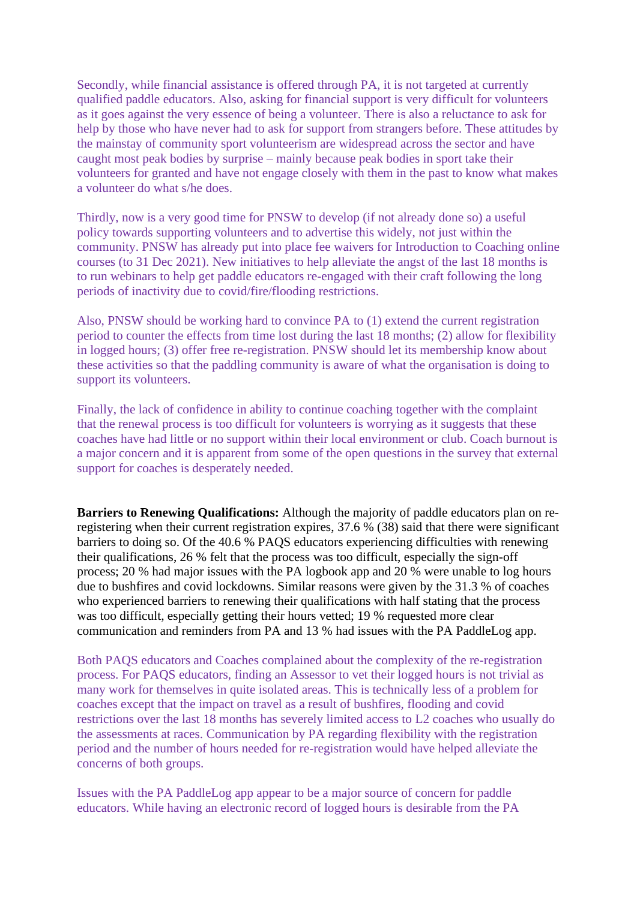Secondly, while financial assistance is offered through PA, it is not targeted at currently qualified paddle educators. Also, asking for financial support is very difficult for volunteers as it goes against the very essence of being a volunteer. There is also a reluctance to ask for help by those who have never had to ask for support from strangers before. These attitudes by the mainstay of community sport volunteerism are widespread across the sector and have caught most peak bodies by surprise – mainly because peak bodies in sport take their volunteers for granted and have not engage closely with them in the past to know what makes a volunteer do what s/he does.

Thirdly, now is a very good time for PNSW to develop (if not already done so) a useful policy towards supporting volunteers and to advertise this widely, not just within the community. PNSW has already put into place fee waivers for Introduction to Coaching online courses (to 31 Dec 2021). New initiatives to help alleviate the angst of the last 18 months is to run webinars to help get paddle educators re-engaged with their craft following the long periods of inactivity due to covid/fire/flooding restrictions.

Also, PNSW should be working hard to convince PA to (1) extend the current registration period to counter the effects from time lost during the last 18 months; (2) allow for flexibility in logged hours; (3) offer free re-registration. PNSW should let its membership know about these activities so that the paddling community is aware of what the organisation is doing to support its volunteers.

Finally, the lack of confidence in ability to continue coaching together with the complaint that the renewal process is too difficult for volunteers is worrying as it suggests that these coaches have had little or no support within their local environment or club. Coach burnout is a major concern and it is apparent from some of the open questions in the survey that external support for coaches is desperately needed.

**Barriers to Renewing Qualifications:** Although the majority of paddle educators plan on reregistering when their current registration expires, 37.6 % (38) said that there were significant barriers to doing so. Of the 40.6 % PAQS educators experiencing difficulties with renewing their qualifications, 26 % felt that the process was too difficult, especially the sign-off process; 20 % had major issues with the PA logbook app and 20 % were unable to log hours due to bushfires and covid lockdowns. Similar reasons were given by the 31.3 % of coaches who experienced barriers to renewing their qualifications with half stating that the process was too difficult, especially getting their hours vetted; 19 % requested more clear communication and reminders from PA and 13 % had issues with the PA PaddleLog app.

Both PAQS educators and Coaches complained about the complexity of the re-registration process. For PAQS educators, finding an Assessor to vet their logged hours is not trivial as many work for themselves in quite isolated areas. This is technically less of a problem for coaches except that the impact on travel as a result of bushfires, flooding and covid restrictions over the last 18 months has severely limited access to L2 coaches who usually do the assessments at races. Communication by PA regarding flexibility with the registration period and the number of hours needed for re-registration would have helped alleviate the concerns of both groups.

Issues with the PA PaddleLog app appear to be a major source of concern for paddle educators. While having an electronic record of logged hours is desirable from the PA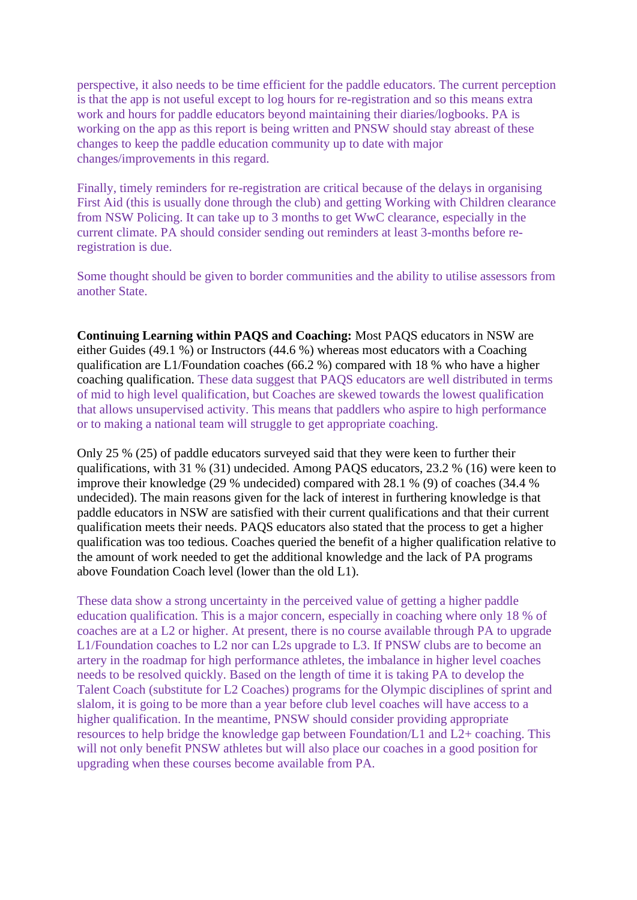perspective, it also needs to be time efficient for the paddle educators. The current perception is that the app is not useful except to log hours for re-registration and so this means extra work and hours for paddle educators beyond maintaining their diaries/logbooks. PA is working on the app as this report is being written and PNSW should stay abreast of these changes to keep the paddle education community up to date with major changes/improvements in this regard.

Finally, timely reminders for re-registration are critical because of the delays in organising First Aid (this is usually done through the club) and getting Working with Children clearance from NSW Policing. It can take up to 3 months to get WwC clearance, especially in the current climate. PA should consider sending out reminders at least 3-months before reregistration is due.

Some thought should be given to border communities and the ability to utilise assessors from another State.

**Continuing Learning within PAQS and Coaching:** Most PAQS educators in NSW are either Guides (49.1 %) or Instructors (44.6 %) whereas most educators with a Coaching qualification are L1/Foundation coaches (66.2 %) compared with 18 % who have a higher coaching qualification. These data suggest that PAQS educators are well distributed in terms of mid to high level qualification, but Coaches are skewed towards the lowest qualification that allows unsupervised activity. This means that paddlers who aspire to high performance or to making a national team will struggle to get appropriate coaching.

Only 25 % (25) of paddle educators surveyed said that they were keen to further their qualifications, with 31 % (31) undecided. Among PAQS educators, 23.2 % (16) were keen to improve their knowledge (29 % undecided) compared with 28.1 % (9) of coaches (34.4 % undecided). The main reasons given for the lack of interest in furthering knowledge is that paddle educators in NSW are satisfied with their current qualifications and that their current qualification meets their needs. PAQS educators also stated that the process to get a higher qualification was too tedious. Coaches queried the benefit of a higher qualification relative to the amount of work needed to get the additional knowledge and the lack of PA programs above Foundation Coach level (lower than the old L1).

These data show a strong uncertainty in the perceived value of getting a higher paddle education qualification. This is a major concern, especially in coaching where only 18 % of coaches are at a L2 or higher. At present, there is no course available through PA to upgrade L1/Foundation coaches to L2 nor can L2s upgrade to L3. If PNSW clubs are to become an artery in the roadmap for high performance athletes, the imbalance in higher level coaches needs to be resolved quickly. Based on the length of time it is taking PA to develop the Talent Coach (substitute for L2 Coaches) programs for the Olympic disciplines of sprint and slalom, it is going to be more than a year before club level coaches will have access to a higher qualification. In the meantime, PNSW should consider providing appropriate resources to help bridge the knowledge gap between Foundation/L1 and L2+ coaching. This will not only benefit PNSW athletes but will also place our coaches in a good position for upgrading when these courses become available from PA.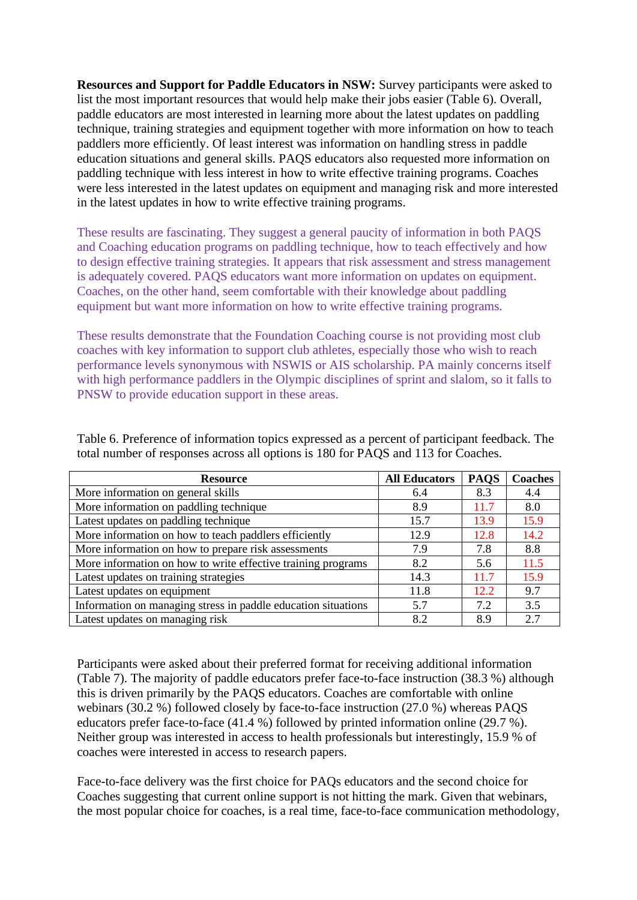**Resources and Support for Paddle Educators in NSW:** Survey participants were asked to list the most important resources that would help make their jobs easier [\(Table 6\)](#page-11-0). Overall, paddle educators are most interested in learning more about the latest updates on paddling technique, training strategies and equipment together with more information on how to teach paddlers more efficiently. Of least interest was information on handling stress in paddle education situations and general skills. PAQS educators also requested more information on paddling technique with less interest in how to write effective training programs. Coaches were less interested in the latest updates on equipment and managing risk and more interested in the latest updates in how to write effective training programs.

These results are fascinating. They suggest a general paucity of information in both PAQS and Coaching education programs on paddling technique, how to teach effectively and how to design effective training strategies. It appears that risk assessment and stress management is adequately covered. PAQS educators want more information on updates on equipment. Coaches, on the other hand, seem comfortable with their knowledge about paddling equipment but want more information on how to write effective training programs.

These results demonstrate that the Foundation Coaching course is not providing most club coaches with key information to support club athletes, especially those who wish to reach performance levels synonymous with NSWIS or AIS scholarship. PA mainly concerns itself with high performance paddlers in the Olympic disciplines of sprint and slalom, so it falls to PNSW to provide education support in these areas.

| <b>Resource</b>                                               | <b>All Educators</b> | <b>PAQS</b> | <b>Coaches</b> |
|---------------------------------------------------------------|----------------------|-------------|----------------|
| More information on general skills                            | 6.4                  | 8.3         | 4.4            |
| More information on paddling technique                        | 8.9                  | 11.7        | 8.0            |
| Latest updates on paddling technique                          | 15.7                 | 13.9        | 15.9           |
| More information on how to teach paddlers efficiently         | 12.9                 | 12.8        | 14.2           |
| More information on how to prepare risk assessments           | 7.9                  | 7.8         | 8.8            |
| More information on how to write effective training programs  | 8.2                  | 5.6         | 11.5           |
| Latest updates on training strategies                         | 14.3                 | 11.7        | 15.9           |
| Latest updates on equipment                                   | 11.8                 | 12.2        | 9.7            |
| Information on managing stress in paddle education situations | 5.7                  | 7.2         | 3.5            |
| Latest updates on managing risk                               | 8.2                  | 8.9         | 2.7            |

<span id="page-11-0"></span>Table 6. Preference of information topics expressed as a percent of participant feedback. The total number of responses across all options is 180 for PAQS and 113 for Coaches.

Participants were asked about their preferred format for receiving additional information [\(Table 7\)](#page-12-0). The majority of paddle educators prefer face-to-face instruction (38.3 %) although this is driven primarily by the PAQS educators. Coaches are comfortable with online webinars (30.2 %) followed closely by face-to-face instruction (27.0 %) whereas PAQS educators prefer face-to-face (41.4 %) followed by printed information online (29.7 %). Neither group was interested in access to health professionals but interestingly, 15.9 % of coaches were interested in access to research papers.

Face-to-face delivery was the first choice for PAQs educators and the second choice for Coaches suggesting that current online support is not hitting the mark. Given that webinars, the most popular choice for coaches, is a real time, face-to-face communication methodology,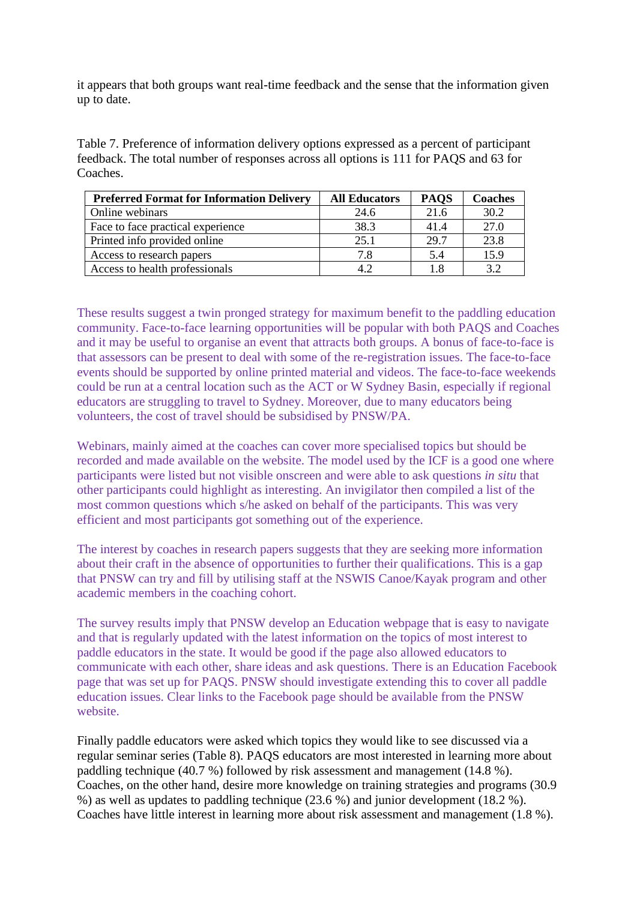it appears that both groups want real-time feedback and the sense that the information given up to date.

<span id="page-12-0"></span>Table 7. Preference of information delivery options expressed as a percent of participant feedback. The total number of responses across all options is 111 for PAQS and 63 for Coaches.

| <b>Preferred Format for Information Delivery</b> | <b>All Educators</b> | <b>PAOS</b> | Coaches |
|--------------------------------------------------|----------------------|-------------|---------|
| Online webinars                                  | 24.6                 | 21.6        | 30.2    |
| Face to face practical experience                | 38.3                 | 41.4        | 27.0    |
| Printed info provided online                     | 25.1                 | 29.7        | 23.8    |
| Access to research papers                        | 7.8                  | 5.4         | 15.9    |
| Access to health professionals                   |                      | 1.8         | 32      |

These results suggest a twin pronged strategy for maximum benefit to the paddling education community. Face-to-face learning opportunities will be popular with both PAQS and Coaches and it may be useful to organise an event that attracts both groups. A bonus of face-to-face is that assessors can be present to deal with some of the re-registration issues. The face-to-face events should be supported by online printed material and videos. The face-to-face weekends could be run at a central location such as the ACT or W Sydney Basin, especially if regional educators are struggling to travel to Sydney. Moreover, due to many educators being volunteers, the cost of travel should be subsidised by PNSW/PA.

Webinars, mainly aimed at the coaches can cover more specialised topics but should be recorded and made available on the website. The model used by the ICF is a good one where participants were listed but not visible onscreen and were able to ask questions *in situ* that other participants could highlight as interesting. An invigilator then compiled a list of the most common questions which s/he asked on behalf of the participants. This was very efficient and most participants got something out of the experience.

The interest by coaches in research papers suggests that they are seeking more information about their craft in the absence of opportunities to further their qualifications. This is a gap that PNSW can try and fill by utilising staff at the NSWIS Canoe/Kayak program and other academic members in the coaching cohort.

The survey results imply that PNSW develop an Education webpage that is easy to navigate and that is regularly updated with the latest information on the topics of most interest to paddle educators in the state. It would be good if the page also allowed educators to communicate with each other, share ideas and ask questions. There is an Education Facebook page that was set up for PAQS. PNSW should investigate extending this to cover all paddle education issues. Clear links to the Facebook page should be available from the PNSW website.

Finally paddle educators were asked which topics they would like to see discussed via a regular seminar series [\(Table 8\)](#page-13-0). PAQS educators are most interested in learning more about paddling technique (40.7 %) followed by risk assessment and management (14.8 %). Coaches, on the other hand, desire more knowledge on training strategies and programs (30.9 %) as well as updates to paddling technique (23.6 %) and junior development (18.2 %). Coaches have little interest in learning more about risk assessment and management (1.8 %).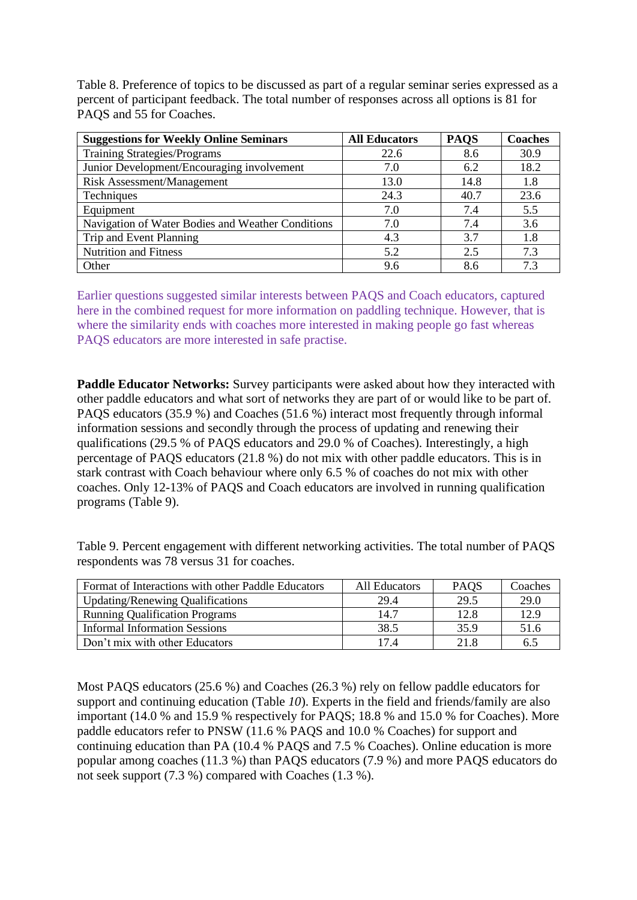<span id="page-13-0"></span>Table 8. Preference of topics to be discussed as part of a regular seminar series expressed as a percent of participant feedback. The total number of responses across all options is 81 for PAQS and 55 for Coaches.

| <b>Suggestions for Weekly Online Seminars</b>     | <b>All Educators</b> | <b>PAQS</b> | <b>Coaches</b> |
|---------------------------------------------------|----------------------|-------------|----------------|
| <b>Training Strategies/Programs</b>               | 22.6                 | 8.6         | 30.9           |
| Junior Development/Encouraging involvement        | 7.0                  | 6.2         | 18.2           |
| <b>Risk Assessment/Management</b>                 | 13.0                 | 14.8        | 1.8            |
| Techniques                                        | 24.3                 | 40.7        | 23.6           |
| Equipment                                         | 7.0                  | 7.4         | 5.5            |
| Navigation of Water Bodies and Weather Conditions | 7.0                  | 7.4         | 3.6            |
| Trip and Event Planning                           | 4.3                  | 3.7         | 1.8            |
| <b>Nutrition and Fitness</b>                      | 5.2                  | 2.5         | 7.3            |
| Other                                             | 9.6                  | 8.6         | 73             |

Earlier questions suggested similar interests between PAQS and Coach educators, captured here in the combined request for more information on paddling technique. However, that is where the similarity ends with coaches more interested in making people go fast whereas PAQS educators are more interested in safe practise.

**Paddle Educator Networks:** Survey participants were asked about how they interacted with other paddle educators and what sort of networks they are part of or would like to be part of. PAQS educators (35.9 %) and Coaches (51.6 %) interact most frequently through informal information sessions and secondly through the process of updating and renewing their qualifications (29.5 % of PAQS educators and 29.0 % of Coaches). Interestingly, a high percentage of PAQS educators (21.8 %) do not mix with other paddle educators. This is in stark contrast with Coach behaviour where only 6.5 % of coaches do not mix with other coaches. Only 12-13% of PAQS and Coach educators are involved in running qualification programs [\(Table 9\)](#page-13-1).

<span id="page-13-1"></span>Table 9. Percent engagement with different networking activities. The total number of PAQS respondents was 78 versus 31 for coaches.

| Format of Interactions with other Paddle Educators | All Educators | <b>PAQS</b> | Coaches |
|----------------------------------------------------|---------------|-------------|---------|
| <b>Updating/Renewing Qualifications</b>            | 29.4          | 29.5        | 29.0    |
| <b>Running Qualification Programs</b>              | 14.7          | 12.8        | 12.9    |
| <b>Informal Information Sessions</b>               | 38.5          | 35.9        | 51.6    |
| Don't mix with other Educators                     | 17.4          | 21.8        | 6.5     |

Most PAQS educators (25.6 %) and Coaches (26.3 %) rely on fellow paddle educators for support and continuing education [\(Table](#page-14-0) *10*). Experts in the field and friends/family are also important (14.0 % and 15.9 % respectively for PAQS; 18.8 % and 15.0 % for Coaches). More paddle educators refer to PNSW (11.6 % PAQS and 10.0 % Coaches) for support and continuing education than PA (10.4 % PAQS and 7.5 % Coaches). Online education is more popular among coaches (11.3 %) than PAQS educators (7.9 %) and more PAQS educators do not seek support (7.3 %) compared with Coaches (1.3 %).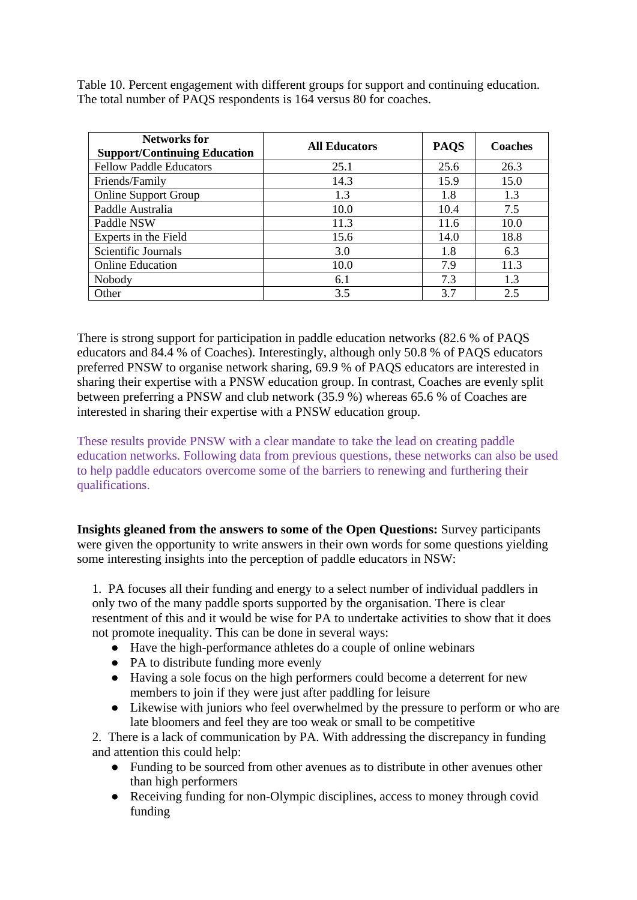<span id="page-14-0"></span>Table 10. Percent engagement with different groups for support and continuing education. The total number of PAQS respondents is 164 versus 80 for coaches.

| <b>Networks for</b><br><b>Support/Continuing Education</b> | <b>All Educators</b> | <b>PAQS</b> | <b>Coaches</b> |
|------------------------------------------------------------|----------------------|-------------|----------------|
| <b>Fellow Paddle Educators</b>                             | 25.1                 | 25.6        | 26.3           |
| Friends/Family                                             | 14.3                 | 15.9        | 15.0           |
| <b>Online Support Group</b>                                | 1.3                  | 1.8         | 1.3            |
| Paddle Australia                                           | 10.0                 | 10.4        | 7.5            |
| Paddle NSW                                                 | 11.3                 | 11.6        | 10.0           |
| Experts in the Field                                       | 15.6                 | 14.0        | 18.8           |
| Scientific Journals                                        | 3.0                  | 1.8         | 6.3            |
| <b>Online Education</b>                                    | 10.0                 | 7.9         | 11.3           |
| Nobody                                                     | 6.1                  | 7.3         | 1.3            |
| Other                                                      | 3.5                  | 3.7         | 2.5            |

There is strong support for participation in paddle education networks (82.6 % of PAQS educators and 84.4 % of Coaches). Interestingly, although only 50.8 % of PAQS educators preferred PNSW to organise network sharing, 69.9 % of PAQS educators are interested in sharing their expertise with a PNSW education group. In contrast, Coaches are evenly split between preferring a PNSW and club network (35.9 %) whereas 65.6 % of Coaches are interested in sharing their expertise with a PNSW education group.

These results provide PNSW with a clear mandate to take the lead on creating paddle education networks. Following data from previous questions, these networks can also be used to help paddle educators overcome some of the barriers to renewing and furthering their qualifications.

**Insights gleaned from the answers to some of the Open Questions:** Survey participants were given the opportunity to write answers in their own words for some questions yielding some interesting insights into the perception of paddle educators in NSW:

1. PA focuses all their funding and energy to a select number of individual paddlers in only two of the many paddle sports supported by the organisation. There is clear resentment of this and it would be wise for PA to undertake activities to show that it does not promote inequality. This can be done in several ways:

- Have the high-performance athletes do a couple of online webinars
- PA to distribute funding more evenly
- Having a sole focus on the high performers could become a deterrent for new members to join if they were just after paddling for leisure
- Likewise with juniors who feel overwhelmed by the pressure to perform or who are late bloomers and feel they are too weak or small to be competitive

2. There is a lack of communication by PA. With addressing the discrepancy in funding and attention this could help:

- Funding to be sourced from other avenues as to distribute in other avenues other than high performers
- Receiving funding for non-Olympic disciplines, access to money through covid funding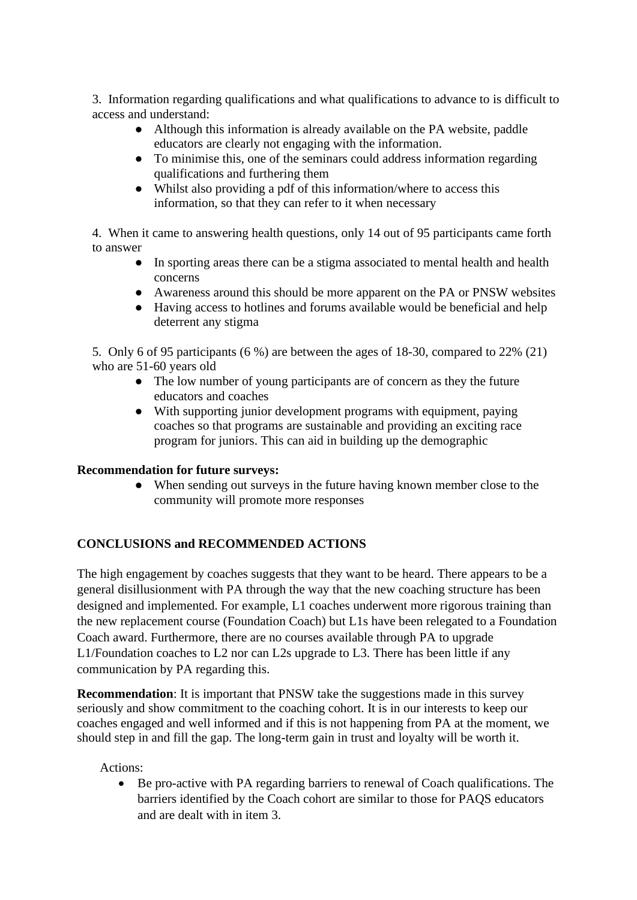3. Information regarding qualifications and what qualifications to advance to is difficult to access and understand:

- Although this information is already available on the PA website, paddle educators are clearly not engaging with the information.
- To minimise this, one of the seminars could address information regarding qualifications and furthering them
- Whilst also providing a pdf of this information/where to access this information, so that they can refer to it when necessary

4. When it came to answering health questions, only 14 out of 95 participants came forth to answer

- In sporting areas there can be a stigma associated to mental health and health concerns
- Awareness around this should be more apparent on the PA or PNSW websites
- Having access to hotlines and forums available would be beneficial and help deterrent any stigma

5. Only 6 of 95 participants (6 %) are between the ages of 18-30, compared to 22% (21) who are 51-60 years old

- The low number of young participants are of concern as they the future educators and coaches
- With supporting junior development programs with equipment, paying coaches so that programs are sustainable and providing an exciting race program for juniors. This can aid in building up the demographic

# **Recommendation for future surveys:**

• When sending out surveys in the future having known member close to the community will promote more responses

# **CONCLUSIONS and RECOMMENDED ACTIONS**

The high engagement by coaches suggests that they want to be heard. There appears to be a general disillusionment with PA through the way that the new coaching structure has been designed and implemented. For example, L1 coaches underwent more rigorous training than the new replacement course (Foundation Coach) but L1s have been relegated to a Foundation Coach award. Furthermore, there are no courses available through PA to upgrade L1/Foundation coaches to L2 nor can L2s upgrade to L3. There has been little if any communication by PA regarding this.

**Recommendation**: It is important that PNSW take the suggestions made in this survey seriously and show commitment to the coaching cohort. It is in our interests to keep our coaches engaged and well informed and if this is not happening from PA at the moment, we should step in and fill the gap. The long-term gain in trust and loyalty will be worth it.

### Actions:

• Be pro-active with PA regarding barriers to renewal of Coach qualifications. The barriers identified by the Coach cohort are similar to those for PAQS educators and are dealt with in item 3.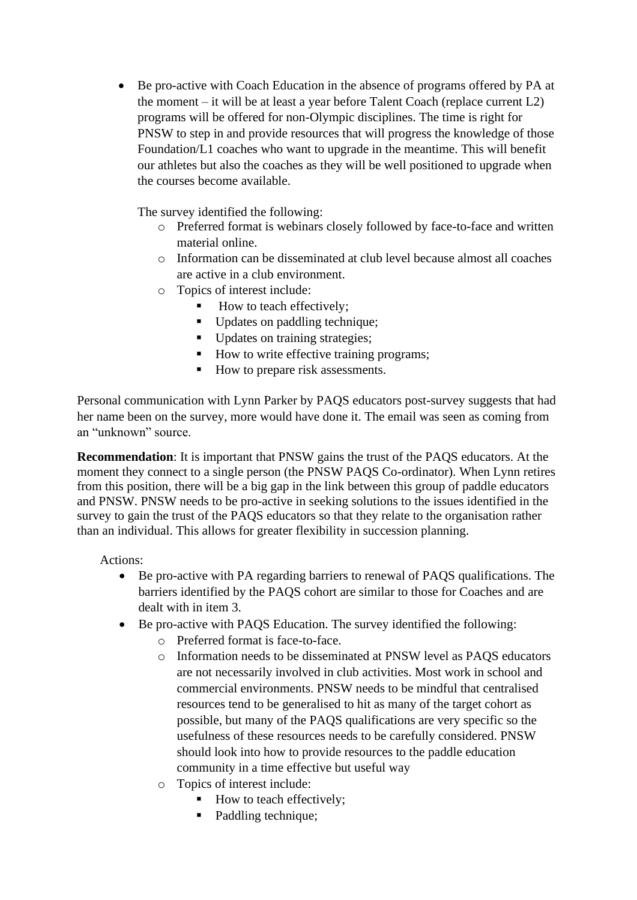• Be pro-active with Coach Education in the absence of programs offered by PA at the moment – it will be at least a year before Talent Coach (replace current  $L2$ ) programs will be offered for non-Olympic disciplines. The time is right for PNSW to step in and provide resources that will progress the knowledge of those Foundation/L1 coaches who want to upgrade in the meantime. This will benefit our athletes but also the coaches as they will be well positioned to upgrade when the courses become available.

The survey identified the following:

- o Preferred format is webinars closely followed by face-to-face and written material online.
- o Information can be disseminated at club level because almost all coaches are active in a club environment.
- o Topics of interest include:
	- How to teach effectively;
	- Updates on paddling technique;
	- Updates on training strategies;
	- How to write effective training programs;
	- How to prepare risk assessments.

Personal communication with Lynn Parker by PAQS educators post-survey suggests that had her name been on the survey, more would have done it. The email was seen as coming from an "unknown" source.

**Recommendation**: It is important that PNSW gains the trust of the PAQS educators. At the moment they connect to a single person (the PNSW PAQS Co-ordinator). When Lynn retires from this position, there will be a big gap in the link between this group of paddle educators and PNSW. PNSW needs to be pro-active in seeking solutions to the issues identified in the survey to gain the trust of the PAQS educators so that they relate to the organisation rather than an individual. This allows for greater flexibility in succession planning.

Actions:

- Be pro-active with PA regarding barriers to renewal of PAQS qualifications. The barriers identified by the PAQS cohort are similar to those for Coaches and are dealt with in item 3.
- Be pro-active with PAQS Education. The survey identified the following:
	- o Preferred format is face-to-face.
	- o Information needs to be disseminated at PNSW level as PAQS educators are not necessarily involved in club activities. Most work in school and commercial environments. PNSW needs to be mindful that centralised resources tend to be generalised to hit as many of the target cohort as possible, but many of the PAQS qualifications are very specific so the usefulness of these resources needs to be carefully considered. PNSW should look into how to provide resources to the paddle education community in a time effective but useful way
	- o Topics of interest include:
		- How to teach effectively;
		- Paddling technique;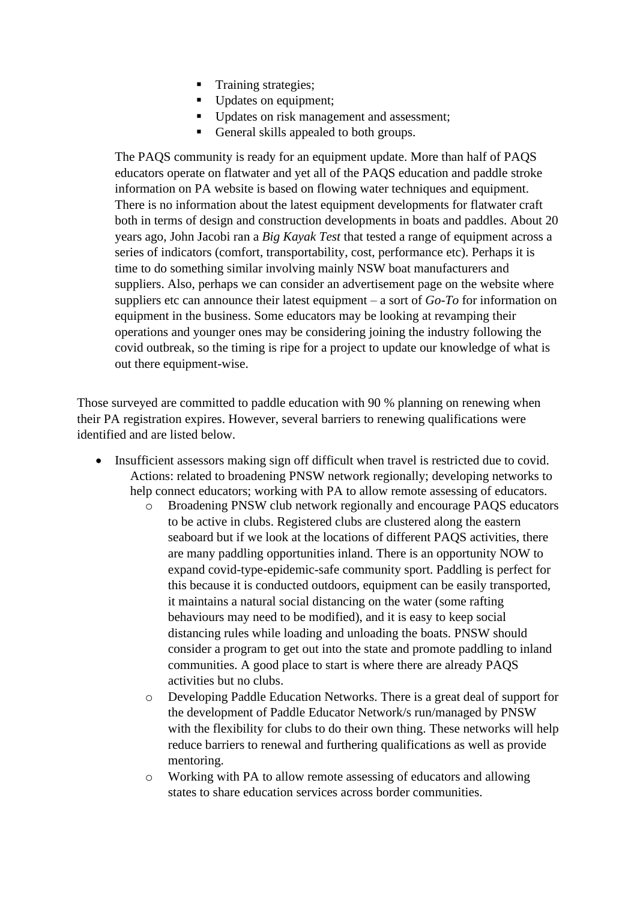- Training strategies;
- Updates on equipment;
- Updates on risk management and assessment;
- General skills appealed to both groups.

The PAQS community is ready for an equipment update. More than half of PAQS educators operate on flatwater and yet all of the PAQS education and paddle stroke information on PA website is based on flowing water techniques and equipment. There is no information about the latest equipment developments for flatwater craft both in terms of design and construction developments in boats and paddles. About 20 years ago, John Jacobi ran a *Big Kayak Test* that tested a range of equipment across a series of indicators (comfort, transportability, cost, performance etc). Perhaps it is time to do something similar involving mainly NSW boat manufacturers and suppliers. Also, perhaps we can consider an advertisement page on the website where suppliers etc can announce their latest equipment – a sort of *Go-To* for information on equipment in the business. Some educators may be looking at revamping their operations and younger ones may be considering joining the industry following the covid outbreak, so the timing is ripe for a project to update our knowledge of what is out there equipment-wise.

Those surveyed are committed to paddle education with 90 % planning on renewing when their PA registration expires. However, several barriers to renewing qualifications were identified and are listed below.

- Insufficient assessors making sign off difficult when travel is restricted due to covid. Actions: related to broadening PNSW network regionally; developing networks to help connect educators; working with PA to allow remote assessing of educators.
	- o Broadening PNSW club network regionally and encourage PAQS educators to be active in clubs. Registered clubs are clustered along the eastern seaboard but if we look at the locations of different PAQS activities, there are many paddling opportunities inland. There is an opportunity NOW to expand covid-type-epidemic-safe community sport. Paddling is perfect for this because it is conducted outdoors, equipment can be easily transported, it maintains a natural social distancing on the water (some rafting behaviours may need to be modified), and it is easy to keep social distancing rules while loading and unloading the boats. PNSW should consider a program to get out into the state and promote paddling to inland communities. A good place to start is where there are already PAQS activities but no clubs.
	- o Developing Paddle Education Networks. There is a great deal of support for the development of Paddle Educator Network/s run/managed by PNSW with the flexibility for clubs to do their own thing. These networks will help reduce barriers to renewal and furthering qualifications as well as provide mentoring.
	- o Working with PA to allow remote assessing of educators and allowing states to share education services across border communities.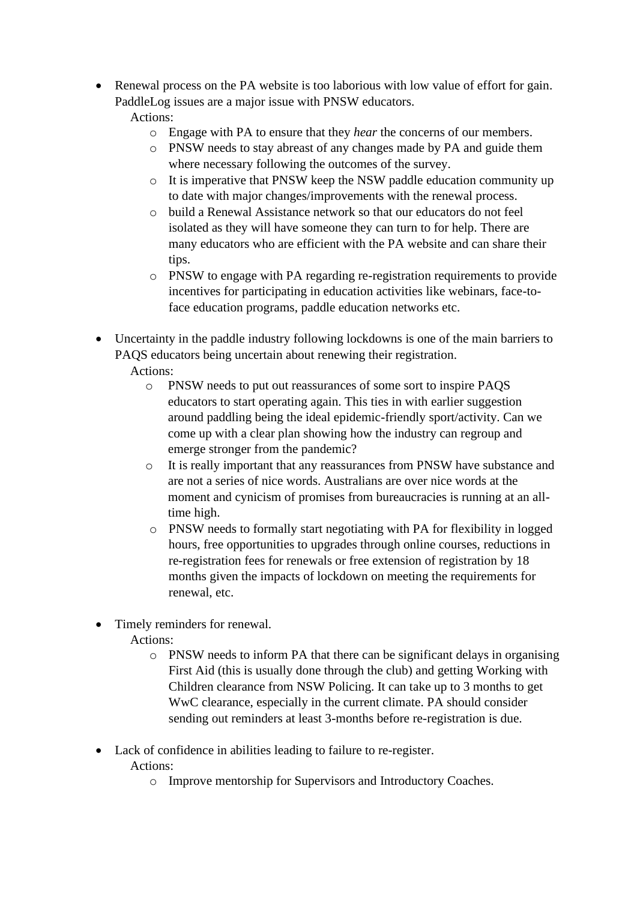- Renewal process on the PA website is too laborious with low value of effort for gain. PaddleLog issues are a major issue with PNSW educators. Actions:
	- o Engage with PA to ensure that they *hear* the concerns of our members.
	- o PNSW needs to stay abreast of any changes made by PA and guide them where necessary following the outcomes of the survey.
	- o It is imperative that PNSW keep the NSW paddle education community up to date with major changes/improvements with the renewal process.
	- o build a Renewal Assistance network so that our educators do not feel isolated as they will have someone they can turn to for help. There are many educators who are efficient with the PA website and can share their tips.
	- o PNSW to engage with PA regarding re-registration requirements to provide incentives for participating in education activities like webinars, face-toface education programs, paddle education networks etc.
- Uncertainty in the paddle industry following lockdowns is one of the main barriers to PAQS educators being uncertain about renewing their registration. Actions:
	- o PNSW needs to put out reassurances of some sort to inspire PAQS educators to start operating again. This ties in with earlier suggestion around paddling being the ideal epidemic-friendly sport/activity. Can we come up with a clear plan showing how the industry can regroup and emerge stronger from the pandemic?
	- o It is really important that any reassurances from PNSW have substance and are not a series of nice words. Australians are over nice words at the moment and cynicism of promises from bureaucracies is running at an alltime high.
	- o PNSW needs to formally start negotiating with PA for flexibility in logged hours, free opportunities to upgrades through online courses, reductions in re-registration fees for renewals or free extension of registration by 18 months given the impacts of lockdown on meeting the requirements for renewal, etc.
- Timely reminders for renewal.
	- Actions:
		- o PNSW needs to inform PA that there can be significant delays in organising First Aid (this is usually done through the club) and getting Working with Children clearance from NSW Policing. It can take up to 3 months to get WwC clearance, especially in the current climate. PA should consider sending out reminders at least 3-months before re-registration is due.
- Lack of confidence in abilities leading to failure to re-register.
	- Actions:
		- o Improve mentorship for Supervisors and Introductory Coaches.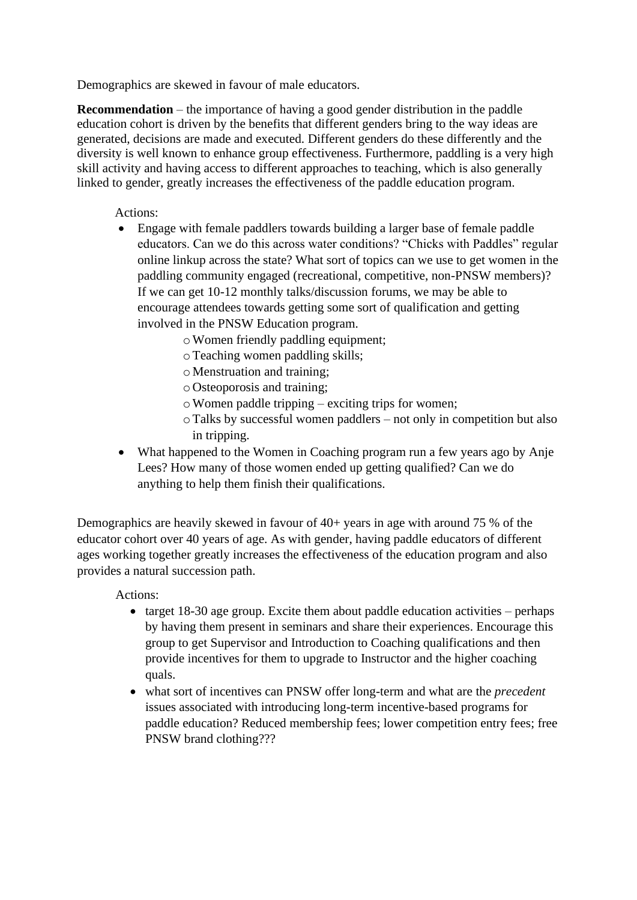Demographics are skewed in favour of male educators.

**Recommendation** – the importance of having a good gender distribution in the paddle education cohort is driven by the benefits that different genders bring to the way ideas are generated, decisions are made and executed. Different genders do these differently and the diversity is well known to enhance group effectiveness. Furthermore, paddling is a very high skill activity and having access to different approaches to teaching, which is also generally linked to gender, greatly increases the effectiveness of the paddle education program.

Actions:

- Engage with female paddlers towards building a larger base of female paddle educators. Can we do this across water conditions? "Chicks with Paddles" regular online linkup across the state? What sort of topics can we use to get women in the paddling community engaged (recreational, competitive, non-PNSW members)? If we can get 10-12 monthly talks/discussion forums, we may be able to encourage attendees towards getting some sort of qualification and getting involved in the PNSW Education program.
	- oWomen friendly paddling equipment;
	- oTeaching women paddling skills;
	- o Menstruation and training;
	- o Osteoporosis and training;
	- $\circ$  Women paddle tripping exciting trips for women;
	- oTalks by successful women paddlers not only in competition but also in tripping.
- What happened to the Women in Coaching program run a few years ago by Anje Lees? How many of those women ended up getting qualified? Can we do anything to help them finish their qualifications.

Demographics are heavily skewed in favour of  $40+$  years in age with around 75 % of the educator cohort over 40 years of age. As with gender, having paddle educators of different ages working together greatly increases the effectiveness of the education program and also provides a natural succession path.

Actions:

- target  $18-30$  age group. Excite them about paddle education activities perhaps by having them present in seminars and share their experiences. Encourage this group to get Supervisor and Introduction to Coaching qualifications and then provide incentives for them to upgrade to Instructor and the higher coaching quals.
- what sort of incentives can PNSW offer long-term and what are the *precedent* issues associated with introducing long-term incentive-based programs for paddle education? Reduced membership fees; lower competition entry fees; free PNSW brand clothing???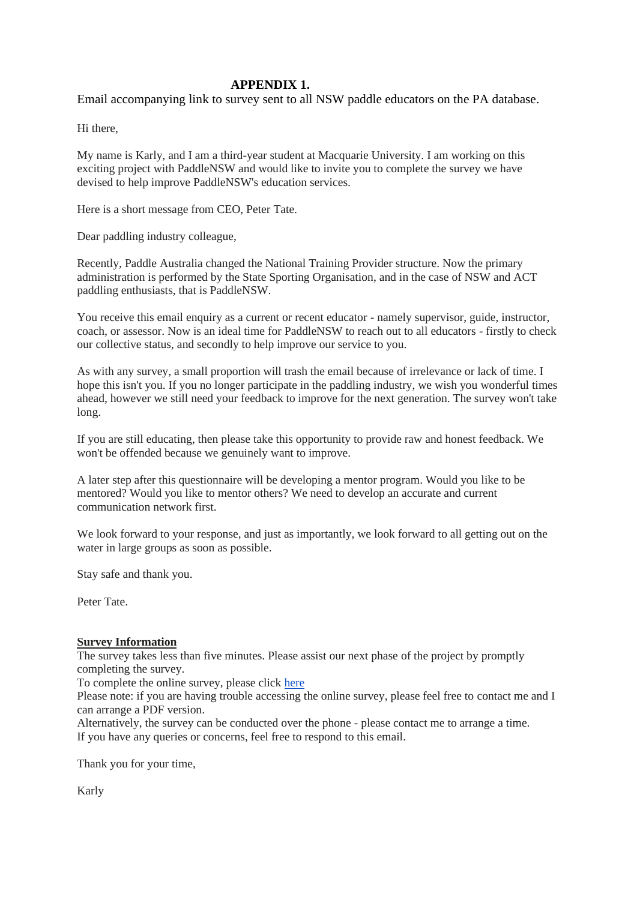### **APPENDIX 1.**

Email accompanying link to survey sent to all NSW paddle educators on the PA database.

Hi there,

My name is Karly, and I am a third-year student at Macquarie University. I am working on this exciting project with PaddleNSW and would like to invite you to complete the survey we have devised to help improve PaddleNSW's education services.

Here is a short message from CEO, Peter Tate.

Dear paddling industry colleague,

Recently, Paddle Australia changed the National Training Provider structure. Now the primary administration is performed by the State Sporting Organisation, and in the case of NSW and ACT paddling enthusiasts, that is PaddleNSW.

You receive this email enquiry as a current or recent educator - namely supervisor, guide, instructor, coach, or assessor. Now is an ideal time for PaddleNSW to reach out to all educators - firstly to check our collective status, and secondly to help improve our service to you.

As with any survey, a small proportion will trash the email because of irrelevance or lack of time. I hope this isn't you. If you no longer participate in the paddling industry, we wish you wonderful times ahead, however we still need your feedback to improve for the next generation. The survey won't take long.

If you are still educating, then please take this opportunity to provide raw and honest feedback. We won't be offended because we genuinely want to improve.

A later step after this questionnaire will be developing a mentor program. Would you like to be mentored? Would you like to mentor others? We need to develop an accurate and current communication network first.

We look forward to your response, and just as importantly, we look forward to all getting out on the water in large groups as soon as possible.

Stay safe and thank you.

Peter Tate.

# **Survey Information**

The survey takes less than five minutes. Please assist our next phase of the project by promptly completing the survey.

To complete the online survey, please click [here](https://forms.gle/NGJsvknUJ4QBCqQ69)

Please note: if you are having trouble accessing the online survey, please feel free to contact me and I can arrange a PDF version.

Alternatively, the survey can be conducted over the phone - please contact me to arrange a time. If you have any queries or concerns, feel free to respond to this email.

Thank you for your time,

Karly